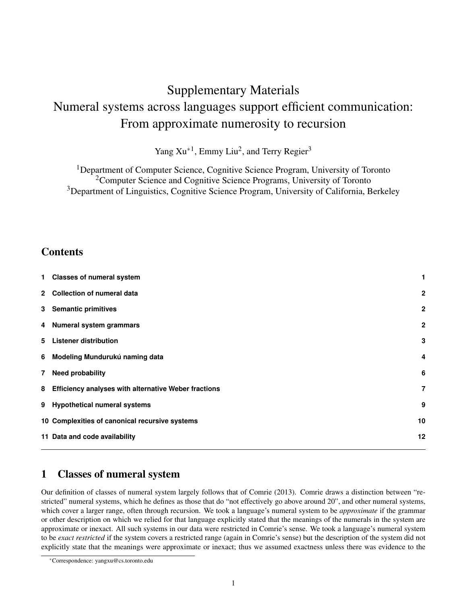# Supplementary Materials Numeral systems across languages support efficient communication: From approximate numerosity to recursion

Yang Xu<sup>\*1</sup>, Emmy Liu<sup>2</sup>, and Terry Regier<sup>3</sup>

<sup>1</sup>Department of Computer Science, Cognitive Science Program, University of Toronto <sup>2</sup>Computer Science and Cognitive Science Programs, University of Toronto <sup>3</sup>Department of Linguistics, Cognitive Science Program, University of California, Berkeley

## Contents

| 1 Classes of numeral system                            | 1            |
|--------------------------------------------------------|--------------|
| 2 Collection of numeral data                           | $\mathbf{2}$ |
| 3 Semantic primitives                                  | $\mathbf{2}$ |
| 4 Numeral system grammars                              | $\mathbf{2}$ |
| 5 Listener distribution                                | 3            |
| 6 Modeling Mundurukú naming data                       | 4            |
| 7 Need probability                                     | 6            |
| 8 Efficiency analyses with alternative Weber fractions | 7            |
| 9 Hypothetical numeral systems                         | 9            |
| 10 Complexities of canonical recursive systems         | 10           |
| 11 Data and code availability                          | 12           |
|                                                        |              |

## 1 Classes of numeral system

Our definition of classes of numeral system largely follows that of Comrie (2013). Comrie draws a distinction between "restricted" numeral systems, which he defines as those that do "not effectively go above around 20", and other numeral systems, which cover a larger range, often through recursion. We took a language's numeral system to be *approximate* if the grammar or other description on which we relied for that language explicitly stated that the meanings of the numerals in the system are approximate or inexact. All such systems in our data were restricted in Comrie's sense. We took a language's numeral system to be *exact restricted* if the system covers a restricted range (again in Comrie's sense) but the description of the system did not explicitly state that the meanings were approximate or inexact; thus we assumed exactness unless there was evidence to the

<sup>∗</sup>Correspondence: yangxu@cs.toronto.edu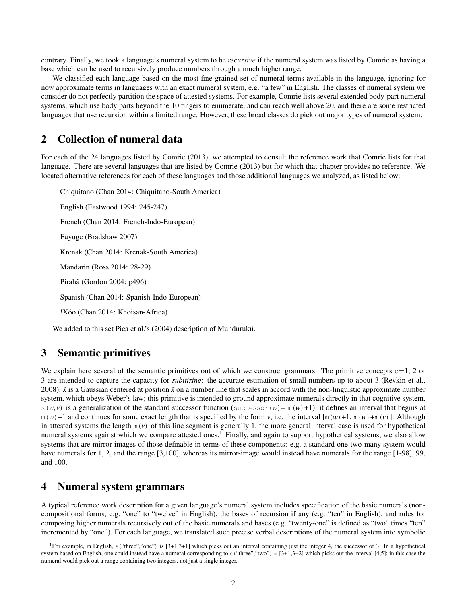contrary. Finally, we took a language's numeral system to be *recursive* if the numeral system was listed by Comrie as having a base which can be used to recursively produce numbers through a much higher range.

We classified each language based on the most fine-grained set of numeral terms available in the language, ignoring for now approximate terms in languages with an exact numeral system, e.g. "a few" in English. The classes of numeral system we consider do not perfectly partition the space of attested systems. For example, Comrie lists several extended body-part numeral systems, which use body parts beyond the 10 fingers to enumerate, and can reach well above 20, and there are some restricted languages that use recursion within a limited range. However, these broad classes do pick out major types of numeral system.

#### 2 Collection of numeral data

For each of the 24 languages listed by Comrie (2013), we attempted to consult the reference work that Comrie lists for that language. There are several languages that are listed by Comrie (2013) but for which that chapter provides no reference. We located alternative references for each of these languages and those additional languages we analyzed, as listed below:

Chiquitano (Chan 2014: Chiquitano-South America) English (Eastwood 1994: 245-247) French (Chan 2014: French-Indo-European) Fuyuge (Bradshaw 2007) Krenak (Chan 2014: Krenak-South America) Mandarin (Ross 2014: 28-29) Pirahã (Gordon 2004: p496) Spanish (Chan 2014: Spanish-Indo-European) !Xóõ (Chan 2014: Khoisan-Africa)

We added to this set Pica et al.'s (2004) description of Mundurukú.

#### 3 Semantic primitives

We explain here several of the semantic primitives out of which we construct grammars. The primitive concepts  $c=1$ , 2 or 3 are intended to capture the capacity for *subitizing*: the accurate estimation of small numbers up to about 3 (Revkin et al., 2008).  $\tilde{x}$  is a Gaussian centered at position  $\tilde{x}$  on a number line that scales in accord with the non-linguistic approximate number system, which obeys Weber's law; this primitive is intended to ground approximate numerals directly in that cognitive system.  $s(w, v)$  is a generalization of the standard successor function (successor  $(w) = m(w) + 1$ ); it defines an interval that begins at  $m(w) + 1$  and continues for some exact length that is specified by the form *v*, i.e. the interval  $[m(w) + 1, m(w) + m(v)]$ . Although in attested systems the length  $m(v)$  of this line segment is generally 1, the more general interval case is used for hypothetical numeral systems against which we compare attested ones.<sup>1</sup> Finally, and again to support hypothetical systems, we also allow systems that are mirror-images of those definable in terms of these components: e.g. a standard one-two-many system would have numerals for 1, 2, and the range [3,100], whereas its mirror-image would instead have numerals for the range [1-98], 99, and 100.

#### 4 Numeral system grammars

A typical reference work description for a given language's numeral system includes specification of the basic numerals (noncompositional forms, e.g. "one" to "twelve" in English), the bases of recursion if any (e.g. "ten" in English), and rules for composing higher numerals recursively out of the basic numerals and bases (e.g. "twenty-one" is defined as "two" times "ten" incremented by "one"). For each language, we translated such precise verbal descriptions of the numeral system into symbolic

<sup>&</sup>lt;sup>1</sup>For example, in English, s ("three", "one") is [3+1,3+1] which picks out an interval containing just the integer 4, the successor of 3. In a hypothetical system based on English, one could instead have a numeral corresponding to s ("three","two") =  $[3+1,3+2]$  which picks out the interval  $[4,5]$ ; in this case the numeral would pick out a range containing two integers, not just a single integer.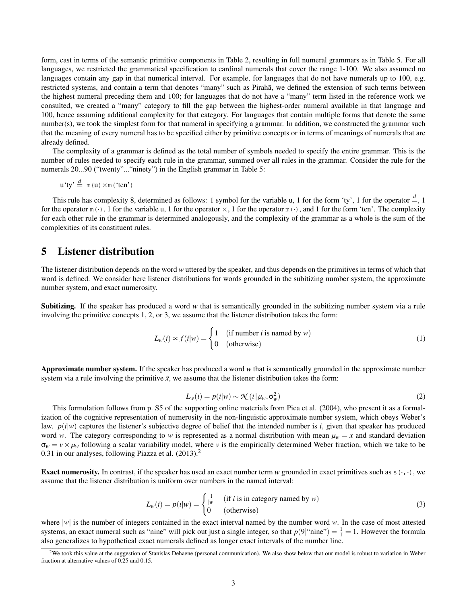form, cast in terms of the semantic primitive components in Table 2, resulting in full numeral grammars as in Table 5. For all languages, we restricted the grammatical specification to cardinal numerals that cover the range 1-100. We also assumed no languages contain any gap in that numerical interval. For example, for languages that do not have numerals up to 100, e.g. restricted systems, and contain a term that denotes "many" such as Pirahã, we defined the extension of such terms between the highest numeral preceding them and 100; for languages that do not have a "many" term listed in the reference work we consulted, we created a "many" category to fill the gap between the highest-order numeral available in that language and 100, hence assuming additional complexity for that category. For languages that contain multiple forms that denote the same number(s), we took the simplest form for that numeral in specifying a grammar. In addition, we constructed the grammar such that the meaning of every numeral has to be specified either by primitive concepts or in terms of meanings of numerals that are already defined.

The complexity of a grammar is defined as the total number of symbols needed to specify the entire grammar. This is the number of rules needed to specify each rule in the grammar, summed over all rules in the grammar. Consider the rule for the numerals 20...90 ("twenty"..."ninety") in the English grammar in Table 5:

$$
u'ty' \stackrel{d}{=} m(u) \times m('ten')
$$

This rule has complexity 8, determined as follows: 1 symbol for the variable u, 1 for the form 'ty', 1 for the operator  $\frac{a}{n}$ , 1 for the operator  $m(\cdot)$ , 1 for the variable u, 1 for the operator  $\times$ , 1 for the operator  $m(\cdot)$ , and 1 for the form 'ten'. The complexity for each other rule in the grammar is determined analogously, and the complexity of the grammar as a whole is the sum of the complexities of its constituent rules.

#### 5 Listener distribution

The listener distribution depends on the word *w* uttered by the speaker, and thus depends on the primitives in terms of which that word is defined. We consider here listener distributions for words grounded in the subitizing number system, the approximate number system, and exact numerosity.

Subitizing. If the speaker has produced a word *w* that is semantically grounded in the subitizing number system via a rule involving the primitive concepts 1, 2, or 3, we assume that the listener distribution takes the form:

$$
L_w(i) \propto f(i|w) = \begin{cases} 1 & \text{(if number } i \text{ is named by } w) \\ 0 & \text{(otherwise)} \end{cases}
$$
 (1)

Approximate number system. If the speaker has produced a word *w* that is semantically grounded in the approximate number system via a rule involving the primitive  $\tilde{x}$ , we assume that the listener distribution takes the form:

$$
L_w(i) = p(i|w) \sim \mathcal{N}(i|\mu_w, \sigma_w^2)
$$
 (2)

This formulation follows from p. S5 of the supporting online materials from Pica et al. (2004), who present it as a formalization of the cognitive representation of numerosity in the non-linguistic approximate number system, which obeys Weber's law.  $p(i|w)$  captures the listener's subjective degree of belief that the intended number is *i*, given that speaker has produced word *w*. The category corresponding to *w* is represented as a normal distribution with mean  $\mu_w = x$  and standard deviation  $\sigma_w = v \times \mu_w$  following a scalar variability model, where *v* is the empirically determined Weber fraction, which we take to be 0.31 in our analyses, following Piazza et al.  $(2013).<sup>2</sup>$ 

**Exact numerosity.** In contrast, if the speaker has used an exact number term *w* grounded in exact primitives such as  $s(\cdot, \cdot)$ , we assume that the listener distribution is uniform over numbers in the named interval:

$$
L_w(i) = p(i|w) = \begin{cases} \frac{1}{|w|} & (\text{if } i \text{ is in category named by } w) \\ 0 & (\text{otherwise}) \end{cases}
$$
(3)

where  $|w|$  is the number of integers contained in the exact interval named by the number word *w*. In the case of most attested systems, an exact numeral such as "nine" will pick out just a single integer, so that  $p(9|$ "nine") =  $\frac{1}{1}$  = 1. However the formula also generalizes to hypothetical exact numerals defined as longer exact intervals of the number line.

<sup>&</sup>lt;sup>2</sup>We took this value at the suggestion of Stanislas Dehaene (personal communication). We also show below that our model is robust to variation in Weber fraction at alternative values of 0.25 and 0.15.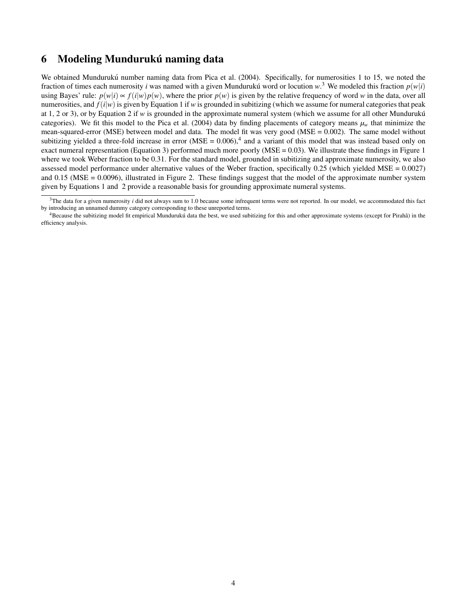#### 6 Modeling Mundurukú naming data

We obtained Mundurukú number naming data from Pica et al. (2004). Specifically, for numerosities 1 to 15, we noted the fraction of times each numerosity *i* was named with a given Mundurukú word or locution  $w^3$ . We modeled this fraction  $p(w|i)$ using Bayes' rule:  $p(w|i) \propto f(i|w)p(w)$ , where the prior  $p(w)$  is given by the relative frequency of word *w* in the data, over all numerosities, and  $f(i|w)$  is given by Equation 1 if *w* is grounded in subitizing (which we assume for numeral categories that peak at 1, 2 or 3), or by Equation 2 if  $w$  is grounded in the approximate numeral system (which we assume for all other Munduruku<sup> $\alpha$ </sup>) categories). We fit this model to the Pica et al. (2004) data by finding placements of category means  $\mu_w$  that minimize the mean-squared-error (MSE) between model and data. The model fit was very good (MSE = 0.002). The same model without subitizing yielded a three-fold increase in error  $(MSE = 0.006)$ ,<sup>4</sup> and a variant of this model that was instead based only on exact numeral representation (Equation 3) performed much more poorly ( $MSE = 0.03$ ). We illustrate these findings in Figure 1 where we took Weber fraction to be 0.31. For the standard model, grounded in subitizing and approximate numerosity, we also assessed model performance under alternative values of the Weber fraction, specifically 0.25 (which yielded MSE = 0.0027) and 0.15 (MSE = 0.0096), illustrated in Figure 2. These findings suggest that the model of the approximate number system given by Equations 1 and 2 provide a reasonable basis for grounding approximate numeral systems.

<sup>&</sup>lt;sup>3</sup>The data for a given numerosity *i* did not always sum to 1.0 because some infrequent terms were not reported. In our model, we accommodated this fact by introducing an unnamed dummy category corresponding to these unreported terms.

 $4B$  Because the subitizing model fit empirical Munduruku data the best, we used subitizing for this and other approximate systems (except for Piraha) in the efficiency analysis.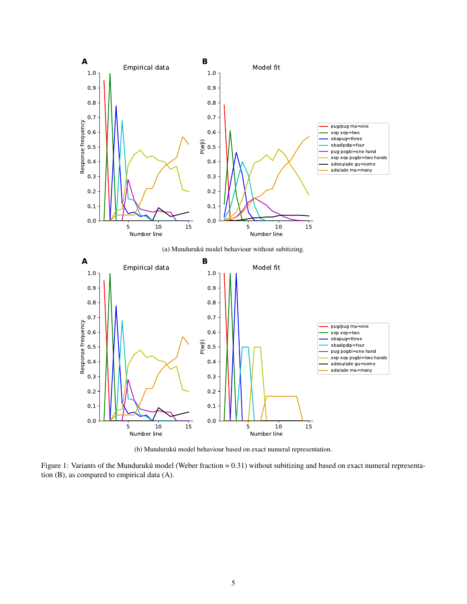

(b) Mundurukú model behaviour based on exact numeral representation.

Figure 1: Variants of the Mundurukú model (Weber fraction =  $0.31$ ) without subitizing and based on exact numeral representation (B), as compared to empirical data (A).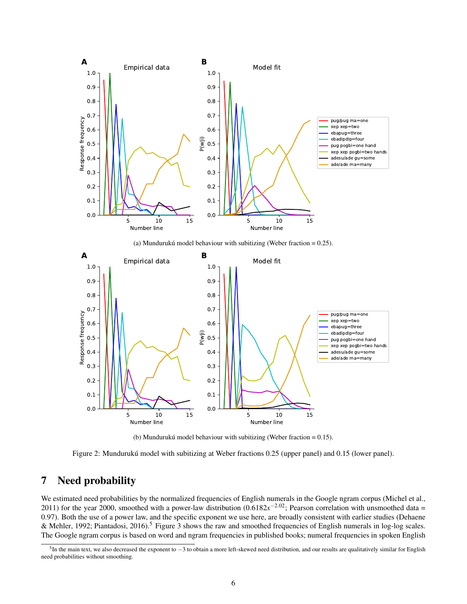

(b) Mundurukú model behaviour with subitizing (Weber fraction  $= 0.15$ ).

Figure 2: Mundurukú model with subitizing at Weber fractions 0.25 (upper panel) and 0.15 (lower panel).

#### 7 Need probability

We estimated need probabilities by the normalized frequencies of English numerals in the Google ngram corpus (Michel et al., 2011) for the year 2000, smoothed with a power-law distribution  $(0.6182x^{-2.02})$ ; Pearson correlation with unsmoothed data = 0.97). Both the use of a power law, and the specific exponent we use here, are broadly consistent with earlier studies (Dehaene & Mehler, 1992; Piantadosi, 2016).<sup>5</sup> Figure 3 shows the raw and smoothed frequencies of English numerals in log-log scales. The Google ngram corpus is based on word and ngram frequencies in published books; numeral frequencies in spoken English

 ${}^{5}$ In the main text, we also decreased the exponent to  $-3$  to obtain a more left-skewed need distribution, and our results are qualitatively similar for English need probabilities without smoothing.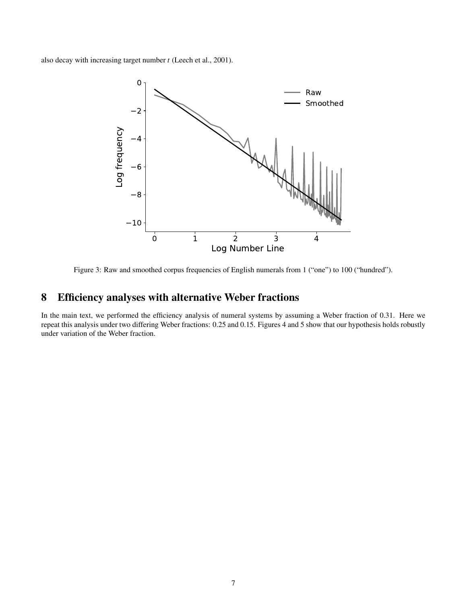also decay with increasing target number *t* (Leech et al., 2001).



Figure 3: Raw and smoothed corpus frequencies of English numerals from 1 ("one") to 100 ("hundred").

#### 8 Efficiency analyses with alternative Weber fractions

In the main text, we performed the efficiency analysis of numeral systems by assuming a Weber fraction of 0.31. Here we repeat this analysis under two differing Weber fractions: 0.25 and 0.15. Figures 4 and 5 show that our hypothesis holds robustly under variation of the Weber fraction.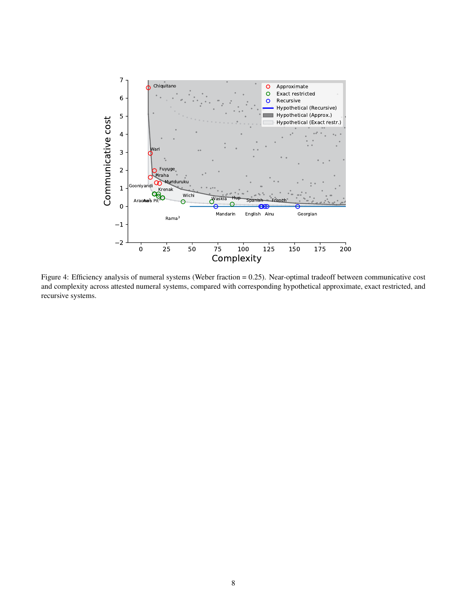

Figure 4: Efficiency analysis of numeral systems (Weber fraction = 0.25). Near-optimal tradeoff between communicative cost and complexity across attested numeral systems, compared with corresponding hypothetical approximate, exact restricted, and recursive systems.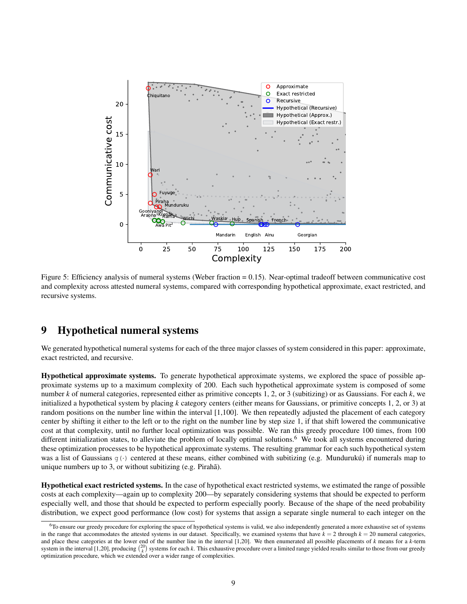

Figure 5: Efficiency analysis of numeral systems (Weber fraction = 0.15). Near-optimal tradeoff between communicative cost and complexity across attested numeral systems, compared with corresponding hypothetical approximate, exact restricted, and recursive systems.

#### 9 Hypothetical numeral systems

We generated hypothetical numeral systems for each of the three major classes of system considered in this paper: approximate, exact restricted, and recursive.

Hypothetical approximate systems. To generate hypothetical approximate systems, we explored the space of possible approximate systems up to a maximum complexity of 200. Each such hypothetical approximate system is composed of some number *k* of numeral categories, represented either as primitive concepts 1, 2, or 3 (subitizing) or as Gaussians. For each *k*, we initialized a hypothetical system by placing *k* category centers (either means for Gaussians, or primitive concepts 1, 2, or 3) at random positions on the number line within the interval [1,100]. We then repeatedly adjusted the placement of each category center by shifting it either to the left or to the right on the number line by step size 1, if that shift lowered the communicative cost at that complexity, until no further local optimization was possible. We ran this greedy procedure 100 times, from 100 different initialization states, to alleviate the problem of locally optimal solutions.<sup>6</sup> We took all systems encountered during these optimization processes to be hypothetical approximate systems. The resulting grammar for each such hypothetical system was a list of Gaussians  $g(\cdot)$  centered at these means, either combined with subitizing (e.g. Munduruku) if numerals map to unique numbers up to 3, or without subitizing  $(e.g. \text{Pirah}\tilde{a})$ .

Hypothetical exact restricted systems. In the case of hypothetical exact restricted systems, we estimated the range of possible costs at each complexity—again up to complexity 200—by separately considering systems that should be expected to perform especially well, and those that should be expected to perform especially poorly. Because of the shape of the need probability distribution, we expect good performance (low cost) for systems that assign a separate single numeral to each integer on the

 $6T$ o ensure our greedy procedure for exploring the space of hypothetical systems is valid, we also independently generated a more exhaustive set of systems in the range that accommodates the attested systems in our dataset. Specifically, we examined systems that have  $k = 2$  through  $k = 20$  numeral categories, and place these categories at the lower end of the number line in the interval  $[1,20]$ . We then enumerated all possible placements of  $k$  means for a  $k$ -term system in the interval [1,20], producing  $\binom{20}{k}$  systems for each *k*. This exhaustive procedure over a limited range yielded results similar to those from our greedy optimization procedure, which we extended over a wider range of complexities.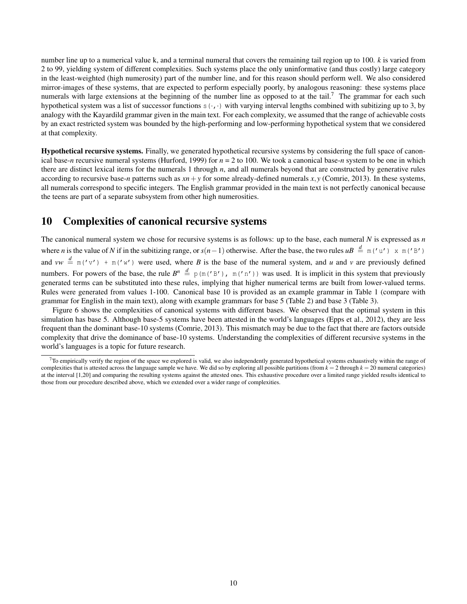number line up to a numerical value k, and a terminal numeral that covers the remaining tail region up to 100. *k* is varied from 2 to 99, yielding system of different complexities. Such systems place the only uninformative (and thus costly) large category in the least-weighted (high numerosity) part of the number line, and for this reason should perform well. We also considered mirror-images of these systems, that are expected to perform especially poorly, by analogous reasoning: these systems place numerals with large extensions at the beginning of the number line as opposed to at the tail.<sup>7</sup> The grammar for each such hypothetical system was a list of successor functions  $s(\cdot, \cdot)$  with varying interval lengths combined with subitizing up to 3, by analogy with the Kayardild grammar given in the main text. For each complexity, we assumed that the range of achievable costs by an exact restricted system was bounded by the high-performing and low-performing hypothetical system that we considered at that complexity.

Hypothetical recursive systems. Finally, we generated hypothetical recursive systems by considering the full space of canonical base-*n* recursive numeral systems (Hurford, 1999) for  $n = 2$  to 100. We took a canonical base-*n* system to be one in which there are distinct lexical items for the numerals 1 through *n*, and all numerals beyond that are constructed by generative rules according to recursive base-*n* patterns such as  $xn + y$  for some already-defined numerals  $x, y$  (Comrie, 2013). In these systems, all numerals correspond to specific integers. The English grammar provided in the main text is not perfectly canonical because the teens are part of a separate subsystem from other high numerosities.

#### 10 Complexities of canonical recursive systems

The canonical numeral system we chose for recursive systems is as follows: up to the base, each numeral *N* is expressed as *n* where *n* is the value of *N* if in the subitizing range, or  $s(n-1)$  otherwise. After the base, the two rules  $uB \stackrel{d}{=} m('u') \times m('B')$ and  $vw \stackrel{d}{=} m('v') + m('w')$  were used, where *B* is the base of the numeral system, and *u* and *v* are previously defined numbers. For powers of the base, the rule  $B^n \stackrel{d}{=} p(m('B'))$ ,  $m('n'))$  was used. It is implicit in this system that previously generated terms can be substituted into these rules, implying that higher numerical terms are built from lower-valued terms. Rules were generated from values 1-100. Canonical base 10 is provided as an example grammar in Table 1 (compare with grammar for English in the main text), along with example grammars for base 5 (Table 2) and base 3 (Table 3).

Figure 6 shows the complexities of canonical systems with different bases. We observed that the optimal system in this simulation has base 5. Although base-5 systems have been attested in the world's languages (Epps et al., 2012), they are less frequent than the dominant base-10 systems (Comrie, 2013). This mismatch may be due to the fact that there are factors outside complexity that drive the dominance of base-10 systems. Understanding the complexities of different recursive systems in the world's languages is a topic for future research.

 $^{7}$ To empirically verify the region of the space we explored is valid, we also independently generated hypothetical systems exhaustively within the range of complexities that is attested across the language sample we have. We did so by exploring all possible partitions (from  $k = 2$  through  $k = 20$  numeral categories) at the interval [1,20] and comparing the resulting systems against the attested ones. This exhaustive procedure over a limited range yielded results identical to those from our procedure described above, which we extended over a wider range of complexities.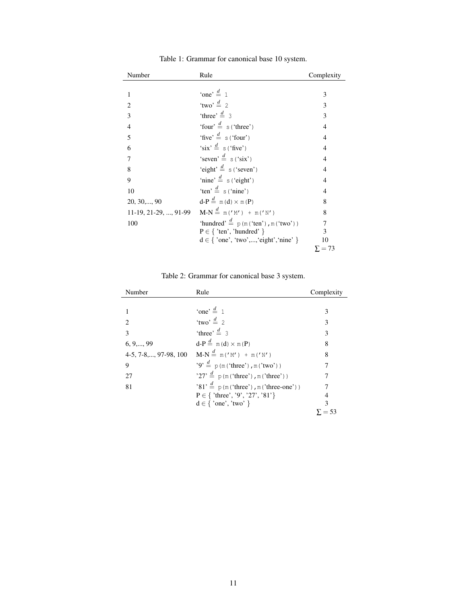| Number                        | Rule                                              | Complexity     |
|-------------------------------|---------------------------------------------------|----------------|
|                               |                                                   |                |
| 1                             | 'one' $\stackrel{d}{=}$ 1                         | 3              |
| $\mathcal{D}_{\mathcal{L}}$   | 'two' $\stackrel{d}{=}$ 2                         | 3              |
| 3                             | 'three' $\stackrel{d}{=}$ 3                       | 3              |
| $\overline{4}$                | 'four' $\stackrel{d}{=}$ s ('three')              | $\overline{4}$ |
| 5                             | 'five' $\stackrel{d}{=}$ s ('four')               | 4              |
| 6                             | 'six' $\stackrel{d}{=}$ s ('five')                | $\overline{4}$ |
| 7                             | 'seven' $\stackrel{d}{=}$ s ('six')               | $\overline{4}$ |
| 8                             | 'eight' $\stackrel{d}{=}$ s ('seven')             | $\overline{4}$ |
| 9                             | 'nine' $\stackrel{d}{=}$ s ('eight')              | $\overline{4}$ |
| 10                            | 'ten' $\stackrel{d}{=}$ s ('nine')                | 4              |
| $20, 30, \ldots, 90$          | $d-P \stackrel{d}{=} m(d) \times m(P)$            | 8              |
| $11-19, 21-29, \ldots, 91-99$ | $M-N \stackrel{d}{=} m('M') + m('N')$             | 8              |
| 100                           | 'hundred' $\stackrel{d}{=}$ p(m('ten'), m('two')) | 7              |
|                               | $P \in \{$ 'ten', 'hundred' $\}$                  | 3              |
|                               | $d \in \{ 'one', 'two', , 'eight', 'nine' \}$     | 10             |
|                               |                                                   | $\Sigma = 73$  |

Table 1: Grammar for canonical base 10 system.

Table 2: Grammar for canonical base 3 system.

| Number                 | Rule                                                 | Complexity |
|------------------------|------------------------------------------------------|------------|
|                        |                                                      |            |
|                        | 'one' $\stackrel{d}{=} 1$                            | 3          |
| $\mathcal{D}$          | 'two' $\stackrel{d}{=}$ 2                            | 3          |
| 3                      | 'three' $\stackrel{d}{=}$ 3                          | 3          |
| $6, 9, \ldots, 99$     | $d-P \stackrel{d}{=} m(d) \times m(P)$               | 8          |
| 4-5, 7-8, , 97-98, 100 | $M-N \stackrel{d}{=} m('M') + m('N')$                | 8          |
| 9                      | $'9' \stackrel{d}{=} p(m('three'), m('two'))$        | 7          |
| 27                     | '27' $\stackrel{d}{=}$ p(m('three'), m('three'))     |            |
| 81                     | '81' $\stackrel{d}{=}$ p(m('three'), m('three-one')) |            |
|                        | $P \in \{ 'three', '9', '27', '81' \}$               | 4          |
|                        | $d \in \{ 'one', 'two' \}$                           | 3          |
|                        |                                                      | $= 53$     |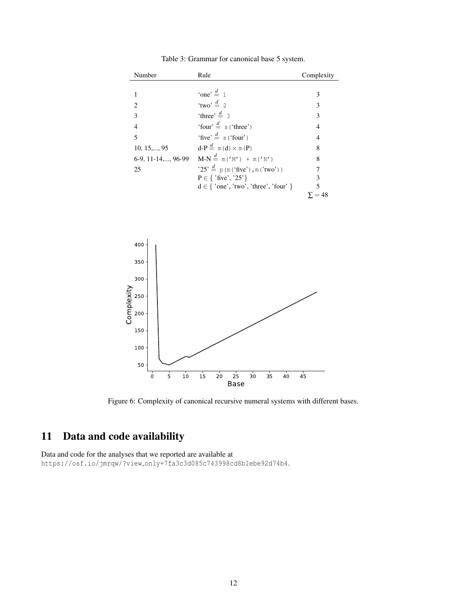| Number               | Rule                                         | Complexity |
|----------------------|----------------------------------------------|------------|
|                      |                                              |            |
|                      | 'one' $\stackrel{d}{=}$ 1                    | 3          |
| $\mathfrak{D}$       | 'two' $\stackrel{d}{=}$ 2                    | 3          |
| 3                    | 'three' $\stackrel{d}{=}$ 3                  | 3          |
| $\overline{4}$       | 'four' $\stackrel{d}{=}$ s ('three')         | 4          |
| 5                    | 'five' $\stackrel{d}{=}$ s ('four')          | 4          |
| $10, 15, \ldots, 95$ | $d-P \stackrel{d}{=} m(d) \times m(P)$       | 8          |
| 6-9, 11-14,, 96-99   | $M-N \stackrel{d}{=} m('M') + m('N')$        | 8          |
| 25                   | $25' \stackrel{d}{=} p(m('five'), m('two'))$ |            |
|                      | $P \in \{$ 'five', '25'}                     | 3          |
|                      | $d \in \{ 'one', 'two', 'three', 'four' \}$  | 5          |
|                      |                                              | $= 48$     |

Table 3: Grammar for canonical base 5 system.



Figure 6: Complexity of canonical recursive numeral systems with different bases.

# 11 Data and code availability

Data and code for the analyses that we reported are available at https://osf.io/jmrqw/?view only=7fa3c3d085c743998cd8b1ebe92d74b4.